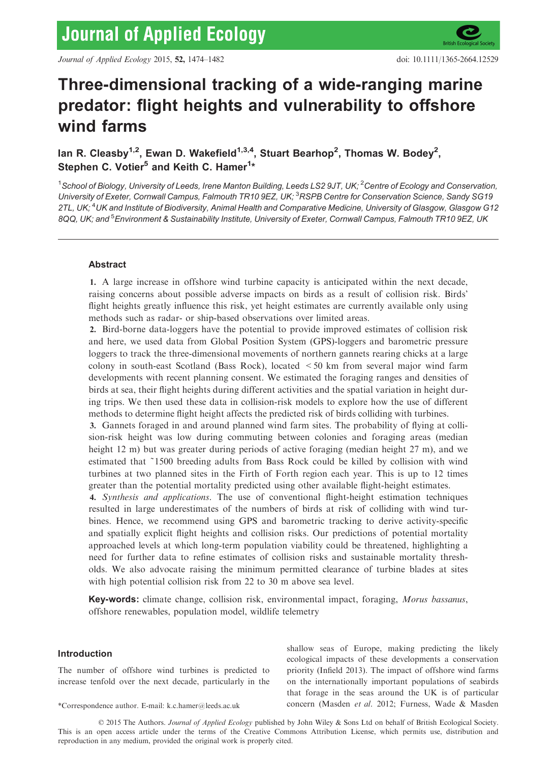# Three-dimensional tracking of a wide-ranging marine predator: flight heights and vulnerability to offshore wind farms

lan R. Cleasby $^{1,2}$ , Ewan D. Wakefield $^{1,3,4}$ , Stuart Bearhop $^2$ , Thomas W. Bodey $^2$ , Stephen C. Votier $^5$  and Keith C. Hamer $^{\text{1}\star}$ 

 $^1$ School of Biology, University of Leeds, Irene Manton Building, Leeds LS2 9JT, UK;  $^2$ Centre of Ecology and Conservation, University of Exeter, Cornwall Campus, Falmouth TR10 9EZ, UK; <sup>3</sup>RSPB Centre for Conservation Science, Sandy SG19 2TL, UK;<sup>4</sup>UK and Institute of Biodiversity, Animal Health and Comparative Medicine, University of Glasgow, Glasgow G12 8QQ, UK; and <sup>5</sup>Environment & Sustainability Institute, University of Exeter, Cornwall Campus, Falmouth TR10 9EZ, UK

# Abstract

1. A large increase in offshore wind turbine capacity is anticipated within the next decade, raising concerns about possible adverse impacts on birds as a result of collision risk. Birds' flight heights greatly influence this risk, yet height estimates are currently available only using methods such as radar- or ship-based observations over limited areas.

2. Bird-borne data-loggers have the potential to provide improved estimates of collision risk and here, we used data from Global Position System (GPS)-loggers and barometric pressure loggers to track the three-dimensional movements of northern gannets rearing chicks at a large colony in south-east Scotland (Bass Rock), located <50 km from several major wind farm developments with recent planning consent. We estimated the foraging ranges and densities of birds at sea, their flight heights during different activities and the spatial variation in height during trips. We then used these data in collision-risk models to explore how the use of different methods to determine flight height affects the predicted risk of birds colliding with turbines.

3. Gannets foraged in and around planned wind farm sites. The probability of flying at collision-risk height was low during commuting between colonies and foraging areas (median height 12 m) but was greater during periods of active foraging (median height 27 m), and we estimated that ~1500 breeding adults from Bass Rock could be killed by collision with wind turbines at two planned sites in the Firth of Forth region each year. This is up to 12 times greater than the potential mortality predicted using other available flight-height estimates.

4. Synthesis and applications. The use of conventional flight-height estimation techniques resulted in large underestimates of the numbers of birds at risk of colliding with wind turbines. Hence, we recommend using GPS and barometric tracking to derive activity-specific and spatially explicit flight heights and collision risks. Our predictions of potential mortality approached levels at which long-term population viability could be threatened, highlighting a need for further data to refine estimates of collision risks and sustainable mortality thresholds. We also advocate raising the minimum permitted clearance of turbine blades at sites with high potential collision risk from 22 to 30 m above sea level.

Key-words: climate change, collision risk, environmental impact, foraging, Morus bassanus, offshore renewables, population model, wildlife telemetry

# Introduction

The number of offshore wind turbines is predicted to increase tenfold over the next decade, particularly in the

shallow seas of Europe, making predicting the likely ecological impacts of these developments a conservation priority (Infield 2013). The impact of offshore wind farms on the internationally important populations of seabirds that forage in the seas around the UK is of particular \*Correspondence author. E-mail: k.c.hamer@leeds.ac.uk concern (Masden et al. 2012; Furness, Wade & Masden

© 2015 The Authors. Journal of Applied Ecology published by John Wiley & Sons Ltd on behalf of British Ecological Society. This is an open access article under the terms of the [Creative Commons Attribution](http://seabirdtracking.org/mapper/contributor.php?contributor_id=204) License, which permits use, distribution and reproduction in any medium, provided the original work is properly cited.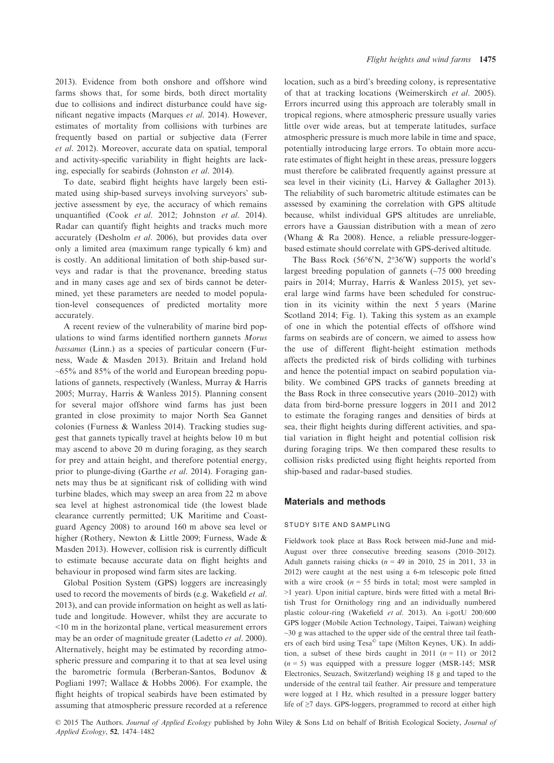2013). Evidence from both onshore and offshore wind farms shows that, for some birds, both direct mortality due to collisions and indirect disturbance could have significant negative impacts (Marques et al. 2014). However, estimates of mortality from collisions with turbines are frequently based on partial or subjective data (Ferrer et al. 2012). Moreover, accurate data on spatial, temporal and activity-specific variability in flight heights are lacking, especially for seabirds (Johnston et al. 2014).

To date, seabird flight heights have largely been estimated using ship-based surveys involving surveyors' subjective assessment by eye, the accuracy of which remains unquantified (Cook et al. 2012; Johnston et al. 2014). Radar can quantify flight heights and tracks much more accurately (Desholm et al. 2006), but provides data over only a limited area (maximum range typically 6 km) and is costly. An additional limitation of both ship-based surveys and radar is that the provenance, breeding status and in many cases age and sex of birds cannot be determined, yet these parameters are needed to model population-level consequences of predicted mortality more accurately.

A recent review of the vulnerability of marine bird populations to wind farms identified northern gannets Morus bassanus (Linn.) as a species of particular concern (Furness, Wade & Masden 2013). Britain and Ireland hold  $\sim 65\%$  and 85% of the world and European breeding populations of gannets, respectively (Wanless, Murray & Harris 2005; Murray, Harris & Wanless 2015). Planning consent for several major offshore wind farms has just been granted in close proximity to major North Sea Gannet colonies (Furness & Wanless 2014). Tracking studies suggest that gannets typically travel at heights below 10 m but may ascend to above 20 m during foraging, as they search for prey and attain height, and therefore potential energy, prior to plunge-diving (Garthe et al. 2014). Foraging gannets may thus be at significant risk of colliding with wind turbine blades, which may sweep an area from 22 m above sea level at highest astronomical tide (the lowest blade clearance currently permitted; UK Maritime and Coastguard Agency 2008) to around 160 m above sea level or higher (Rothery, Newton & Little 2009; Furness, Wade & Masden 2013). However, collision risk is currently difficult to estimate because accurate data on flight heights and behaviour in proposed wind farm sites are lacking.

Global Position System (GPS) loggers are increasingly used to record the movements of birds (e.g. Wakefield et al. 2013), and can provide information on height as well as latitude and longitude. However, whilst they are accurate to <10 m in the horizontal plane, vertical measurement errors may be an order of magnitude greater (Ladetto et al. 2000). Alternatively, height may be estimated by recording atmospheric pressure and comparing it to that at sea level using the barometric formula (Berberan-Santos, Bodunov & Pogliani 1997; Wallace & Hobbs 2006). For example, the flight heights of tropical seabirds have been estimated by assuming that atmospheric pressure recorded at a reference location, such as a bird's breeding colony, is representative of that at tracking locations (Weimerskirch et al. 2005). Errors incurred using this approach are tolerably small in tropical regions, where atmospheric pressure usually varies little over wide areas, but at temperate latitudes, surface atmospheric pressure is much more labile in time and space, potentially introducing large errors. To obtain more accurate estimates of flight height in these areas, pressure loggers must therefore be calibrated frequently against pressure at sea level in their vicinity (Li, Harvey & Gallagher 2013). The reliability of such barometric altitude estimates can be assessed by examining the correlation with GPS altitude because, whilst individual GPS altitudes are unreliable, errors have a Gaussian distribution with a mean of zero (Whang & Ra 2008). Hence, a reliable pressure-loggerbased estimate should correlate with GPS-derived altitude.

The Bass Rock  $(56^{\circ}6'N, 2^{\circ}36'W)$  supports the world's largest breeding population of gannets (~75 000 breeding pairs in 2014; Murray, Harris & Wanless 2015), yet several large wind farms have been scheduled for construction in its vicinity within the next 5 years (Marine Scotland 2014; Fig. 1). Taking this system as an example of one in which the potential effects of offshore wind farms on seabirds are of concern, we aimed to assess how the use of different flight-height estimation methods affects the predicted risk of birds colliding with turbines and hence the potential impact on seabird population viability. We combined GPS tracks of gannets breeding at the Bass Rock in three consecutive years (2010–2012) with data from bird-borne pressure loggers in 2011 and 2012 to estimate the foraging ranges and densities of birds at sea, their flight heights during different activities, and spatial variation in flight height and potential collision risk during foraging trips. We then compared these results to collision risks predicted using flight heights reported from ship-based and radar-based studies.

#### Materials and methods

# STUDY SITE AND SAMPLING

Fieldwork took place at Bass Rock between mid-June and mid-August over three consecutive breeding seasons (2010–2012). Adult gannets raising chicks  $(n = 49 \text{ in } 2010, 25 \text{ in } 2011, 33 \text{ in }$ 2012) were caught at the nest using a 6-m telescopic pole fitted with a wire crook ( $n = 55$  birds in total; most were sampled in >1 year). Upon initial capture, birds were fitted with a metal British Trust for Ornithology ring and an individually numbered plastic colour-ring (Wakefield et al. 2013). An i-gotU 200/600 GPS logger (Mobile Action Technology, Taipei, Taiwan) weighing  $\sim$ 30 g was attached to the upper side of the central three tail feathers of each bird using Tesa© tape (Milton Keynes, UK). In addition, a subset of these birds caught in 2011  $(n = 11)$  or 2012  $(n = 5)$  was equipped with a pressure logger (MSR-145; MSR Electronics, Seuzach, Switzerland) weighing 18 g and taped to the underside of the central tail feather. Air pressure and temperature were logged at 1 Hz, which resulted in a pressure logger battery life of ≥7 days. GPS-loggers, programmed to record at either high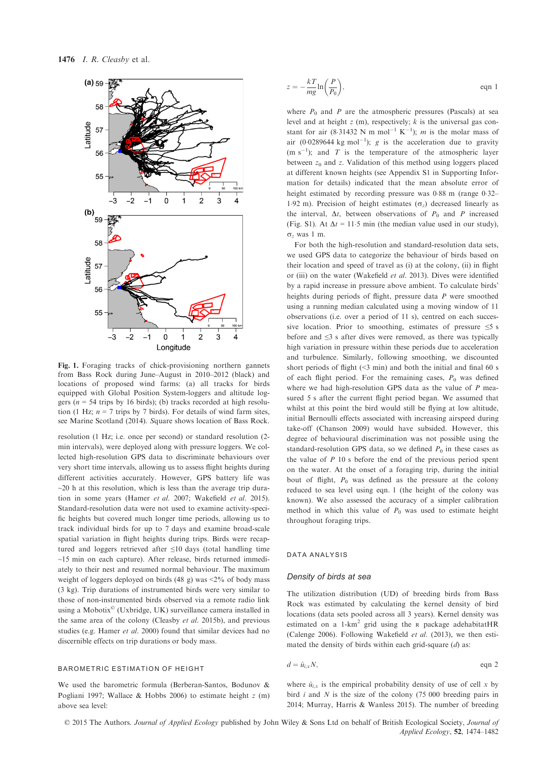

Fig. 1. Foraging tracks of chick-provisioning northern gannets from Bass Rock during June–August in 2010–2012 (black) and locations of proposed wind farms: (a) all tracks for birds equipped with Global Position System-loggers and altitude loggers ( $n = 54$  trips by 16 birds); (b) tracks recorded at high resolution (1 Hz;  $n = 7$  trips by 7 birds). For details of wind farm sites, see Marine Scotland (2014). Square shows location of Bass Rock.

resolution (1 Hz; i.e. once per second) or standard resolution (2 min intervals), were deployed along with pressure loggers. We collected high-resolution GPS data to discriminate behaviours over very short time intervals, allowing us to assess flight heights during different activities accurately. However, GPS battery life was  $\sim$ 20 h at this resolution, which is less than the average trip duration in some years (Hamer et al. 2007; Wakefield et al. 2015). Standard-resolution data were not used to examine activity-specific heights but covered much longer time periods, allowing us to track individual birds for up to 7 days and examine broad-scale spatial variation in flight heights during trips. Birds were recaptured and loggers retrieved after ≤10 days (total handling time ~15 min on each capture). After release, birds returned immediately to their nest and resumed normal behaviour. The maximum weight of loggers deployed on birds (48 g) was <2% of body mass (3 kg). Trip durations of instrumented birds were very similar to those of non-instrumented birds observed via a remote radio link using a Mobotix© (Uxbridge, UK) surveillance camera installed in the same area of the colony (Cleasby et al. 2015b), and previous studies (e.g. Hamer et al. 2000) found that similar devices had no discernible effects on trip durations or body mass.

#### BAROMETRIC ESTIMATION OF HEIGHT

We used the barometric formula (Berberan-Santos, Bodunov & Pogliani 1997; Wallace & Hobbs 2006) to estimate height  $z$  (m) above sea level:

$$
z = -\frac{kT}{mg}\ln\left(\frac{P}{P_0}\right),\tag{eqn 1}
$$

where  $P_0$  and P are the atmospheric pressures (Pascals) at sea level and at height  $z$  (m), respectively;  $k$  is the universal gas constant for air (8.31432 N m mol<sup>-1</sup> K<sup>-1</sup>); *m* is the molar mass of air (0.0289644 kg mol<sup>-1</sup>); g is the acceleration due to gravity  $(m s<sup>-1</sup>)$ ; and T is the temperature of the atmospheric layer between  $z_0$  and z. Validation of this method using loggers placed at different known heights (see Appendix S1 in Supporting Information for details) indicated that the mean absolute error of height estimated by recording pressure was  $0.88$  m (range  $0.32-$ 1.92 m). Precision of height estimates  $(\sigma_z)$  decreased linearly as the interval,  $\Delta t$ , between observations of  $P_0$  and P increased (Fig. S1). At  $\Delta t = 11.5$  min (the median value used in our study),  $\sigma$ <sub>z</sub> was 1 m.

For both the high-resolution and standard-resolution data sets, we used GPS data to categorize the behaviour of birds based on their location and speed of travel as (i) at the colony, (ii) in flight or (iii) on the water (Wakefield et al. 2013). Dives were identified by a rapid increase in pressure above ambient. To calculate birds' heights during periods of flight, pressure data P were smoothed using a running median calculated using a moving window of 11 observations (i.e. over a period of 11 s), centred on each successive location. Prior to smoothing, estimates of pressure  $\leq$ 5 s before and ≤3 s after dives were removed, as there was typically high variation in pressure within these periods due to acceleration and turbulence. Similarly, following smoothing, we discounted short periods of flight  $($ <3 min) and both the initial and final 60 s of each flight period. For the remaining cases,  $P_0$  was defined where we had high-resolution GPS data as the value of P measured 5 s after the current flight period began. We assumed that whilst at this point the bird would still be flying at low altitude, initial Bernoulli effects associated with increasing airspeed during take-off (Chanson 2009) would have subsided. However, this degree of behavioural discrimination was not possible using the standard-resolution GPS data, so we defined  $P_0$  in these cases as the value of  $P$  10 s before the end of the previous period spent on the water. At the onset of a foraging trip, during the initial bout of flight,  $P_0$  was defined as the pressure at the colony reduced to sea level using eqn. 1 (the height of the colony was known). We also assessed the accuracy of a simpler calibration method in which this value of  $P_0$  was used to estimate height throughout foraging trips.

#### DATA ANALYSIS

#### Density of birds at sea

The utilization distribution (UD) of breeding birds from Bass Rock was estimated by calculating the kernel density of bird locations (data sets pooled across all 3 years). Kernel density was estimated on a 1-km<sup>2</sup> grid using the R package adehabitatHR (Calenge 2006). Following Wakefield et al. (2013), we then estimated the density of birds within each grid-square  $(d)$  as:

$$
d = \hat{u}_{i,x} N,
$$
eqn 2

where  $\hat{u}_{i,x}$  is the empirical probability density of use of cell x by bird  $i$  and  $N$  is the size of the colony (75 000 breeding pairs in 2014; Murray, Harris & Wanless 2015). The number of breeding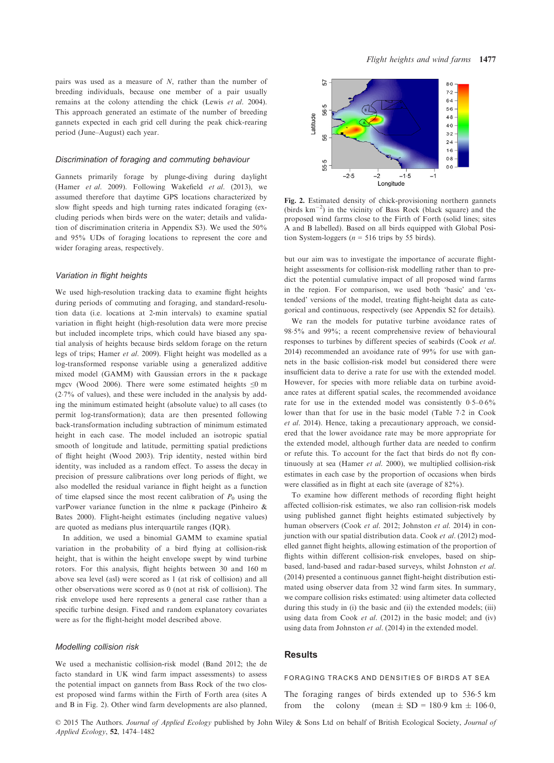pairs was used as a measure of N, rather than the number of breeding individuals, because one member of a pair usually remains at the colony attending the chick (Lewis et al. 2004). This approach generated an estimate of the number of breeding gannets expected in each grid cell during the peak chick-rearing period (June–August) each year.

#### Discrimination of foraging and commuting behaviour

Gannets primarily forage by plunge-diving during daylight (Hamer et al. 2009). Following Wakefield et al. (2013), we assumed therefore that daytime GPS locations characterized by slow flight speeds and high turning rates indicated foraging (excluding periods when birds were on the water; details and validation of discrimination criteria in Appendix S3). We used the 50% and 95% UDs of foraging locations to represent the core and wider foraging areas, respectively.

## Variation in flight heights

We used high-resolution tracking data to examine flight heights during periods of commuting and foraging, and standard-resolution data (i.e. locations at 2-min intervals) to examine spatial variation in flight height (high-resolution data were more precise but included incomplete trips, which could have biased any spatial analysis of heights because birds seldom forage on the return legs of trips; Hamer et al. 2009). Flight height was modelled as a log-transformed response variable using a generalized additive mixed model (GAMM) with Gaussian errors in the <sup>R</sup> package mgcv (Wood 2006). There were some estimated heights  $\leq 0$  m (27% of values), and these were included in the analysis by adding the minimum estimated height (absolute value) to all cases (to permit log-transformation); data are then presented following back-transformation including subtraction of minimum estimated height in each case. The model included an isotropic spatial smooth of longitude and latitude, permitting spatial predictions of flight height (Wood 2003). Trip identity, nested within bird identity, was included as a random effect. To assess the decay in precision of pressure calibrations over long periods of flight, we also modelled the residual variance in flight height as a function of time elapsed since the most recent calibration of  $P_0$  using the varPower variance function in the nlme <sup>R</sup> package (Pinheiro & Bates 2000). Flight-height estimates (including negative values) are quoted as medians plus interquartile ranges (IQR).

In addition, we used a binomial GAMM to examine spatial variation in the probability of a bird flying at collision-risk height, that is within the height envelope swept by wind turbine rotors. For this analysis, flight heights between 30 and 160 m above sea level (asl) were scored as 1 (at risk of collision) and all other observations were scored as 0 (not at risk of collision). The risk envelope used here represents a general case rather than a specific turbine design. Fixed and random explanatory covariates were as for the flight-height model described above.

# Modelling collision risk

We used a mechanistic collision-risk model (Band 2012; the de facto standard in UK wind farm impact assessments) to assess the potential impact on gannets from Bass Rock of the two closest proposed wind farms within the Firth of Forth area (sites A and B in Fig. 2). Other wind farm developments are also planned,



Fig. 2. Estimated density of chick-provisioning northern gannets (birds km-2 ) in the vicinity of Bass Rock (black square) and the proposed wind farms close to the Firth of Forth (solid lines; sites A and B labelled). Based on all birds equipped with Global Position System-loggers ( $n = 516$  trips by 55 birds).

but our aim was to investigate the importance of accurate flightheight assessments for collision-risk modelling rather than to predict the potential cumulative impact of all proposed wind farms in the region. For comparison, we used both 'basic' and 'extended' versions of the model, treating flight-height data as categorical and continuous, respectively (see Appendix S2 for details).

We ran the models for putative turbine avoidance rates of 985% and 99%; a recent comprehensive review of behavioural responses to turbines by different species of seabirds (Cook et al. 2014) recommended an avoidance rate of 99% for use with gannets in the basic collision-risk model but considered there were insufficient data to derive a rate for use with the extended model. However, for species with more reliable data on turbine avoidance rates at different spatial scales, the recommended avoidance rate for use in the extended model was consistently  $0.5-0.6\%$ lower than that for use in the basic model (Table 72 in Cook et al. 2014). Hence, taking a precautionary approach, we considered that the lower avoidance rate may be more appropriate for the extended model, although further data are needed to confirm or refute this. To account for the fact that birds do not fly continuously at sea (Hamer et al. 2000), we multiplied collision-risk estimates in each case by the proportion of occasions when birds were classified as in flight at each site (average of 82%).

To examine how different methods of recording flight height affected collision-risk estimates, we also ran collision-risk models using published gannet flight heights estimated subjectively by human observers (Cook et al. 2012; Johnston et al. 2014) in conjunction with our spatial distribution data. Cook et al. (2012) modelled gannet flight heights, allowing estimation of the proportion of flights within different collision-risk envelopes, based on shipbased, land-based and radar-based surveys, whilst Johnston et al. (2014) presented a continuous gannet flight-height distribution estimated using observer data from 32 wind farm sites. In summary, we compare collision risks estimated: using altimeter data collected during this study in (i) the basic and (ii) the extended models; (iii) using data from Cook et al. (2012) in the basic model; and (iv) using data from Johnston et al. (2014) in the extended model.

# Results

#### FORAGING TRACKS AND DENSITIES OF BIRDS AT SEA

The foraging ranges of birds extended up to 536.5 km<br>from the colony (mean  $\pm$  SD = 180.9 km  $\pm$  106.0, (mean  $\pm$  SD = 180.9 km  $\pm$  106.0,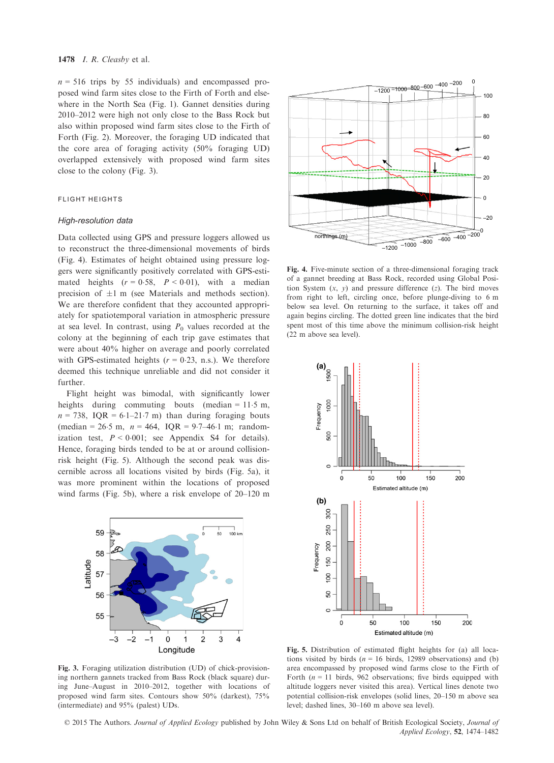$n = 516$  trips by 55 individuals) and encompassed proposed wind farm sites close to the Firth of Forth and elsewhere in the North Sea (Fig. 1). Gannet densities during 2010–2012 were high not only close to the Bass Rock but also within proposed wind farm sites close to the Firth of Forth (Fig. 2). Moreover, the foraging UD indicated that the core area of foraging activity (50% foraging UD) overlapped extensively with proposed wind farm sites close to the colony (Fig. 3).

# FLIGHT HEIGHTS

#### High-resolution data

Data collected using GPS and pressure loggers allowed us to reconstruct the three-dimensional movements of birds (Fig. 4). Estimates of height obtained using pressure loggers were significantly positively correlated with GPS-estimated heights  $(r = 0.58, P < 0.01)$ , with a median precision of  $\pm 1$  m (see Materials and methods section). We are therefore confident that they accounted appropriately for spatiotemporal variation in atmospheric pressure at sea level. In contrast, using  $P_0$  values recorded at the colony at the beginning of each trip gave estimates that were about 40% higher on average and poorly correlated with GPS-estimated heights ( $r = 0.23$ , n.s.). We therefore deemed this technique unreliable and did not consider it further.

Flight height was bimodal, with significantly lower heights during commuting bouts (median  $= 11.5$  m,  $n = 738$ , IQR = 6.1–21.7 m) than during foraging bouts (median = 26.5 m,  $n = 464$ , IQR = 9.7–46.1 m; randomization test,  $P < 0.001$ ; see Appendix S4 for details). Hence, foraging birds tended to be at or around collisionrisk height (Fig. 5). Although the second peak was discernible across all locations visited by birds (Fig. 5a), it was more prominent within the locations of proposed wind farms (Fig. 5b), where a risk envelope of 20–120 m







Fig. 4. Five-minute section of a three-dimensional foraging track of a gannet breeding at Bass Rock, recorded using Global Position System  $(x, y)$  and pressure difference  $(z)$ . The bird moves from right to left, circling once, before plunge-diving to 6 m below sea level. On returning to the surface, it takes off and again begins circling. The dotted green line indicates that the bird spent most of this time above the minimum collision-risk height (22 m above sea level).



Fig. 5. Distribution of estimated flight heights for (a) all locations visited by birds ( $n = 16$  birds, 12989 observations) and (b) area encompassed by proposed wind farms close to the Firth of Forth ( $n = 11$  birds, 962 observations; five birds equipped with altitude loggers never visited this area). Vertical lines denote two potential collision-risk envelopes (solid lines, 20–150 m above sea level; dashed lines, 30–160 m above sea level).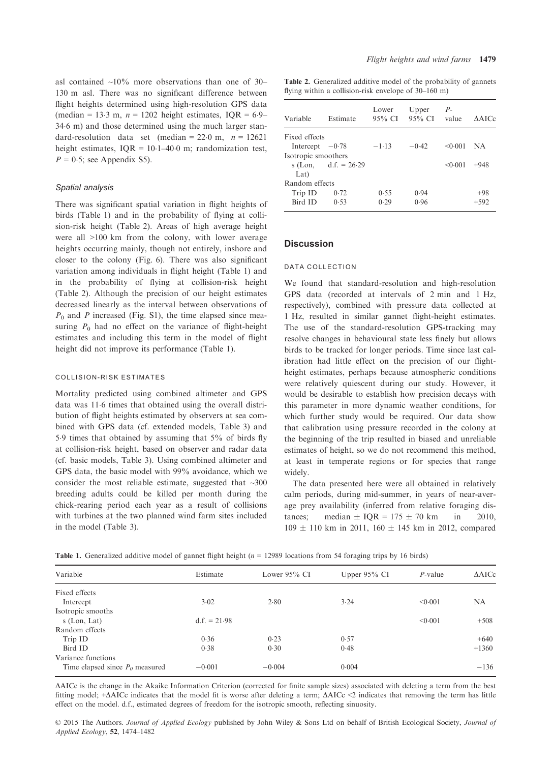asl contained  $\sim 10\%$  more observations than one of 30– 130 m asl. There was no significant difference between flight heights determined using high-resolution GPS data (median = 13.3 m,  $n = 1202$  height estimates, IQR = 6.9– 346 m) and those determined using the much larger standard-resolution data set (median =  $22.0$  m,  $n = 12621$ height estimates,  $IQR = 10.1-40.0$  m; randomization test,  $P = 0.5$ ; see Appendix S5).

#### Spatial analysis

There was significant spatial variation in flight heights of birds (Table 1) and in the probability of flying at collision-risk height (Table 2). Areas of high average height were all >100 km from the colony, with lower average heights occurring mainly, though not entirely, inshore and closer to the colony (Fig. 6). There was also significant variation among individuals in flight height (Table 1) and in the probability of flying at collision-risk height (Table 2). Although the precision of our height estimates decreased linearly as the interval between observations of  $P_0$  and P increased (Fig. S1), the time elapsed since measuring  $P_0$  had no effect on the variance of flight-height estimates and including this term in the model of flight height did not improve its performance (Table 1).

# COLLISION-RISK ESTIMATES

Mortality predicted using combined altimeter and GPS data was 11.6 times that obtained using the overall distribution of flight heights estimated by observers at sea combined with GPS data (cf. extended models, Table 3) and 59 times that obtained by assuming that 5% of birds fly at collision-risk height, based on observer and radar data (cf. basic models, Table 3). Using combined altimeter and GPS data, the basic model with 99% avoidance, which we consider the most reliable estimate, suggested that  $\sim 300$ breeding adults could be killed per month during the chick-rearing period each year as a result of collisions with turbines at the two planned wind farm sites included in the model (Table 3).

Table 2. Generalized additive model of the probability of gannets flying within a collision-risk envelope of 30–160 m)

| Estimate               | Lower<br>95% CI | Upper   | $P-$    | <b>AAICc</b> |
|------------------------|-----------------|---------|---------|--------------|
| Fixed effects          |                 |         |         |              |
| Intercept $-0.78$      | $-1.13$         | $-0.42$ | < 0.001 | NA.          |
| Isotropic smoothers    |                 |         |         |              |
| s (Lon, d.f. = $26.29$ |                 |         | < 0.001 | $+948$       |
|                        |                 |         |         |              |
| Random effects         |                 |         |         |              |
| 0.72                   | 0.55            | 0.94    |         | $+98$        |
| 0.53                   | 0.29            | 0.96    |         | $+592$       |
|                        |                 |         |         | 95% CI value |

# **Discussion**

#### DATA COLLECTION

We found that standard-resolution and high-resolution GPS data (recorded at intervals of 2 min and 1 Hz, respectively), combined with pressure data collected at 1 Hz, resulted in similar gannet flight-height estimates. The use of the standard-resolution GPS-tracking may resolve changes in behavioural state less finely but allows birds to be tracked for longer periods. Time since last calibration had little effect on the precision of our flightheight estimates, perhaps because atmospheric conditions were relatively quiescent during our study. However, it would be desirable to establish how precision decays with this parameter in more dynamic weather conditions, for which further study would be required. Our data show that calibration using pressure recorded in the colony at the beginning of the trip resulted in biased and unreliable estimates of height, so we do not recommend this method, at least in temperate regions or for species that range widely.

The data presented here were all obtained in relatively calm periods, during mid-summer, in years of near-average prey availability (inferred from relative foraging distances; median  $\pm$  IQR = 175  $\pm$  70 km in 2010,  $109 \pm 110$  km in 2011,  $160 \pm 145$  km in 2012, compared

| Variable                          | Estimate       | Lower $95\%$ CI | Upper $95\%$ CI | $P$ -value | $\triangle$ AICc |
|-----------------------------------|----------------|-----------------|-----------------|------------|------------------|
| Fixed effects                     |                |                 |                 |            |                  |
| Intercept                         | 3.02           | 2.80            | 3.24            | < 0.001    | NA               |
| Isotropic smooths                 |                |                 |                 |            |                  |
| s (Lon, Lat)                      | $d.f. = 21.98$ |                 |                 | < 0.001    | $+508$           |
| Random effects                    |                |                 |                 |            |                  |
| Trip ID                           | 0.36           | 0.23            | 0.57            |            | $+640$           |
| Bird ID                           | 0.38           | 0.30            | 0.48            |            | $+1360$          |
| Variance functions                |                |                 |                 |            |                  |
| Time elapsed since $P_0$ measured | $-0.001$       | $-0.004$        | 0.004           |            | $-136$           |
|                                   |                |                 |                 |            |                  |

DAICc is the change in the Akaike Information Criterion (corrected for finite sample sizes) associated with deleting a term from the best fitting model; + $\triangle$ AICc indicates that the model fit is worse after deleting a term;  $\triangle$ AICc <2 indicates that removing the term has little effect on the model. d.f., estimated degrees of freedom for the isotropic smooth, reflecting sinuosity.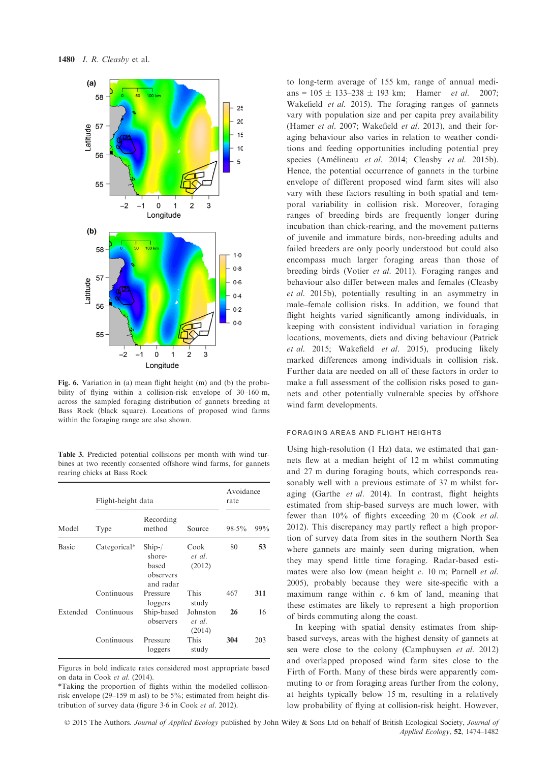

Fig. 6. Variation in (a) mean flight height (m) and (b) the probability of flying within a collision-risk envelope of 30–160 m, across the sampled foraging distribution of gannets breeding at Bass Rock (black square). Locations of proposed wind farms within the foraging range are also shown.

Table 3. Predicted potential collisions per month with wind turbines at two recently consented offshore wind farms, for gannets rearing chicks at Bass Rock

| Model    | Flight-height data | Avoidance<br>rate                                    |                              |          |     |
|----------|--------------------|------------------------------------------------------|------------------------------|----------|-----|
|          | Type               | Recording<br>method                                  | Source                       | $98.5\%$ | 99% |
| Basic    | Categorical*       | $Ship-$<br>shore-<br>based<br>observers<br>and radar | Cook<br>et al.<br>(2012)     | 80       | 53  |
|          | Continuous         | Pressure<br>loggers                                  | This<br>study                | 467      | 311 |
| Extended | Continuous         | Ship-based<br>observers                              | Johnston<br>et al.<br>(2014) | 26       | 16  |
|          | Continuous         | Pressure<br>loggers                                  | This<br>study                | 304      | 203 |

Figures in bold indicate rates considered most appropriate based on data in Cook et al. (2014).

to long-term average of 155 km, range of annual medians =  $105 \pm 133 - 238 \pm 193$  km; Hamer *et al.* 2007; Wakefield *et al.* 2015). The foraging ranges of gannets vary with population size and per capita prey availability (Hamer et al. 2007; Wakefield et al. 2013), and their foraging behaviour also varies in relation to weather conditions and feeding opportunities including potential prey species (Amélineau et al. 2014; Cleasby et al. 2015b). Hence, the potential occurrence of gannets in the turbine envelope of different proposed wind farm sites will also vary with these factors resulting in both spatial and temporal variability in collision risk. Moreover, foraging ranges of breeding birds are frequently longer during incubation than chick-rearing, and the movement patterns of juvenile and immature birds, non-breeding adults and failed breeders are only poorly understood but could also encompass much larger foraging areas than those of breeding birds (Votier et al. 2011). Foraging ranges and behaviour also differ between males and females (Cleasby et al. 2015b), potentially resulting in an asymmetry in male–female collision risks. In addition, we found that flight heights varied significantly among individuals, in keeping with consistent individual variation in foraging locations, movements, diets and diving behaviour (Patrick et al. 2015; Wakefield et al. 2015), producing likely marked differences among individuals in collision risk. Further data are needed on all of these factors in order to make a full assessment of the collision risks posed to gannets and other potentially vulnerable species by offshore wind farm developments.

# FORAGING AREAS AND FLIGHT HEIGHTS

Using high-resolution (1 Hz) data, we estimated that gannets flew at a median height of 12 m whilst commuting and 27 m during foraging bouts, which corresponds reasonably well with a previous estimate of 37 m whilst foraging (Garthe et al. 2014). In contrast, flight heights estimated from ship-based surveys are much lower, with fewer than 10% of flights exceeding 20 m (Cook et al. 2012). This discrepancy may partly reflect a high proportion of survey data from sites in the southern North Sea where gannets are mainly seen during migration, when they may spend little time foraging. Radar-based estimates were also low (mean height c. 10 m; Parnell et al. 2005), probably because they were site-specific with a maximum range within  $c$ . 6 km of land, meaning that these estimates are likely to represent a high proportion of birds commuting along the coast.

In keeping with spatial density estimates from shipbased surveys, areas with the highest density of gannets at sea were close to the colony (Camphuysen et al. 2012) and overlapped proposed wind farm sites close to the Firth of Forth. Many of these birds were apparently commuting to or from foraging areas further from the colony, at heights typically below 15 m, resulting in a relatively low probability of flying at collision-risk height. However,

<sup>\*</sup>Taking the proportion of flights within the modelled collisionrisk envelope (29–159 m asl) to be 5%; estimated from height distribution of survey data (figure 3.6 in Cook et al. 2012).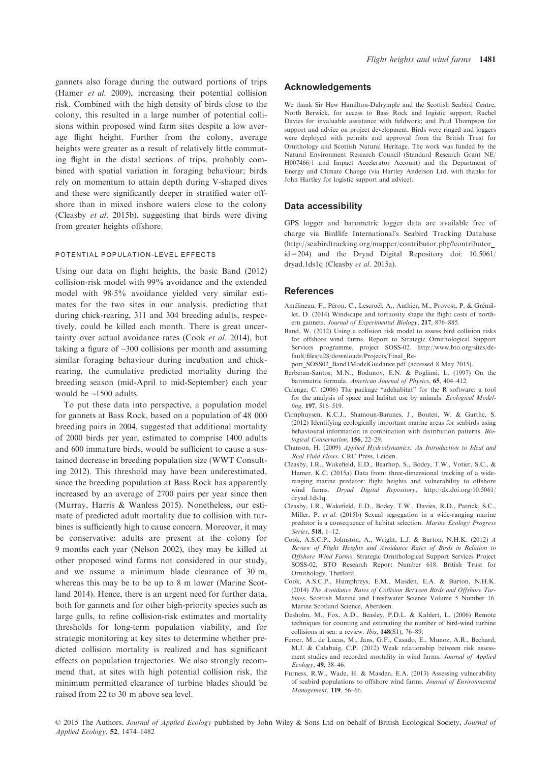gannets also forage during the outward portions of trips (Hamer et al. 2009), increasing their potential collision risk. Combined with the high density of birds close to the colony, this resulted in a large number of potential collisions within proposed wind farm sites despite a low average flight height. Further from the colony, average heights were greater as a result of relatively little commuting flight in the distal sections of trips, probably combined with spatial variation in foraging behaviour; birds rely on momentum to attain depth during V-shaped dives and these were significantly deeper in stratified water offshore than in mixed inshore waters close to the colony (Cleasby et al. 2015b), suggesting that birds were diving from greater heights offshore.

# POTENTIAL POPULATION-LEVEL EFFECTS

Using our data on flight heights, the basic Band (2012) collision-risk model with 99% avoidance and the extended model with 98.5% avoidance yielded very similar estimates for the two sites in our analysis, predicting that during chick-rearing, 311 and 304 breeding adults, respectively, could be killed each month. There is great uncertainty over actual avoidance rates (Cook et al. 2014), but taking a figure of ~300 collisions per month and assuming similar foraging behaviour during incubation and chickrearing, the cumulative predicted mortality during the breeding season (mid-April to mid-September) each year would be ~1500 adults.

To put these data into perspective, a population model for gannets at Bass Rock, based on a population of 48 000 breeding pairs in 2004, suggested that additional mortality of 2000 birds per year, estimated to comprise 1400 adults and 600 immature birds, would be sufficient to cause a sustained decrease in breeding population size (WWT Consulting 2012). This threshold may have been underestimated, since the breeding population at Bass Rock has apparently increased by an average of 2700 pairs per year since then (Murray, Harris & Wanless 2015). Nonetheless, our estimate of predicted adult mortality due to collision with turbines is sufficiently high to cause concern. Moreover, it may be conservative: adults are present at the colony for 9 months each year (Nelson 2002), they may be killed at other proposed wind farms not considered in our study, and we assume a minimum blade clearance of 30 m, whereas this may be to be up to 8 m lower (Marine Scotland 2014). Hence, there is an urgent need for further data, both for gannets and for other high-priority species such as large gulls, to refine collision-risk estimates and mortality thresholds for long-term population viability, and for strategic monitoring at key sites to determine whether predicted collision mortality is realized and has significant effects on population trajectories. We also strongly recommend that, at sites with high potential collision risk, the minimum permitted clearance of turbine blades should be raised from 22 to 30 m above sea level.

## Acknowledgements

We thank Sir Hew Hamilton-Dalrymple and the Scottish Seabird Centre, North Berwick, for access to Bass Rock and logistic support; Rachel Davies for invaluable assistance with fieldwork; and Paul Thompson for support and advice on project development. Birds were ringed and loggers were deployed with permits and approval from the British Trust for Ornithology and Scottish Natural Heritage. The work was funded by the Natural Environment Research Council (Standard Research Grant NE/ H007466/1 and Impact Accelerator Account) and the Department of Energy and Climate Change (via Hartley Anderson Ltd, with thanks for John Hartley for logistic support and advice).

### Data accessibility

GPS logger and barometric logger data are available free of charge via Birdlife International's Seabird Tracking Database [\(http://seabirdtracking.org/mapper/contributor.php?contributor\\_](http://seabirdtracking.org/mapper/contributor.php?contributor_id=204)  $id = 204$ ) and the Dryad Digital Repository doi:  $10.5061/$ [dryad.1ds1q](http://dx.doi.org/10.5061/dryad.1ds1q) (Cleasby et al. 2015a).

#### References

- Amélineau, F., Péron, C., Lescroël, A., Authier, M., Provost, P. & Grémillet, D. (2014) Windscape and tortuosity shape the flight costs of northern gannets. Journal of Experimental Biology, 217, 876–885.
- Band, W. (2012) Using a collision risk model to assess bird collision risks for offshore wind farms. Report to Strategic Ornithological Support Services programme, project SOSS-02. [http://www.bto.org/sites/de](http://www.bto.org/sites/default/files/u28/downloads/Projects/Final_Report_SOSS02_Band1ModelGuidance.pdf)[fault/files/u28/downloads/Projects/Final\\_Re-](http://www.bto.org/sites/default/files/u28/downloads/Projects/Final_Report_SOSS02_Band1ModelGuidance.pdf)
- [port\\_SOSS02\\_Band1ModelGuidance.pdf](http://www.bto.org/sites/default/files/u28/downloads/Projects/Final_Report_SOSS02_Band1ModelGuidance.pdf) (accessed 8 May 2015).
- Berberan-Santos, M.N., Bodunov, E.N. & Pogliani, L. (1997) On the barometric formula. American Journal of Physics, 65, 404–412.
- Calenge, C. (2006) The package "adehabitat" for the R software: a tool for the analysis of space and habitat use by animals. Ecological Modelling, 197, 516–519.
- Camphuysen, K.C.J., Shamoun-Baranes, J., Bouten, W. & Garthe, S. (2012) Identifying ecologically important marine areas for seabirds using behavioural information in combination with distribution patterns. Biological Conservation, 156, 22–29.
- Chanson, H. (2009) Applied Hydrodynamics: An Introduction to Ideal and Real Fluid Flows. CRC Press, Leiden.
- Cleasby, I.R., Wakefield, E.D., Bearhop, S., Bodey, T.W., Votier, S.C., & Hamer, K.C. (2015a) Data from: three-dimensional tracking of a wideranging marine predator: flight heights and vulnerability to offshore wind farms. Dryad Digital Repository, [http://dx.doi.org/10.5061/](http://dx.doi.org/10.5061/dryad.1ds1q) [dryad.1ds1q.](http://dx.doi.org/10.5061/dryad.1ds1q)
- Cleasby, I.R., Wakefield, E.D., Bodey, T.W., Davies, R.D., Patrick, S.C., Miller, P. et al. (2015b) Sexual segregation in a wide-ranging marine predator is a consequence of habitat selection. Marine Ecology Progress Series, 518, 1–12.
- Cook, A.S.C.P., Johnston, A., Wright, L.J. & Burton, N.H.K. (2012) A Review of Flight Heights and Avoidance Rates of Birds in Relation to Offshore Wind Farms. Strategic Ornithological Support Services Project SOSS-02, BTO Research Report Number 618. British Trust for Ornithology, Thetford.
- Cook, A.S.C.P., Humphreys, E.M., Masden, E.A. & Burton, N.H.K. (2014) The Avoidance Rates of Collision Between Birds and Offshore Turbines. Scottish Marine and Freshwater Science Volume 5 Number 16. Marine Scotland Science, Aberdeen.
- Desholm, M., Fox, A.D., Beasley, P.D.L. & Kahlert, L. (2006) Remote techniques for counting and estimating the number of bird-wind turbine collisions at sea: a review. Ibis, 148(S1), 76–89.
- Ferrer, M., de Lucas, M., Jans, G.F., Casado, E., Munoz, A.R., Bechard, M.J. & Calabuig, C.P. (2012) Weak relationship between risk assessment studies and recorded mortality in wind farms. Journal of Applied Ecology, 49, 38–46.
- Furness, R.W., Wade, H. & Masden, E.A. (2013) Assessing vulnerability of seabird populations to offshore wind farms. Journal of Environmental Management, 119, 56–66.